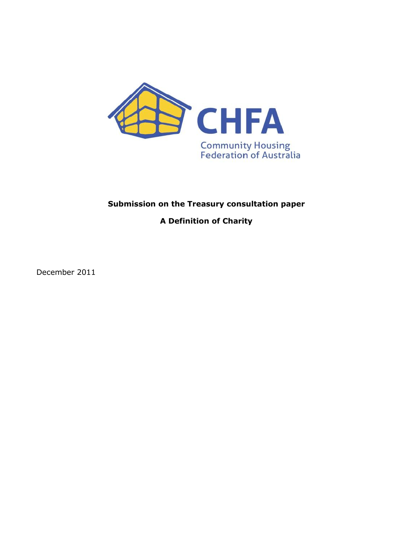

# **Submission on the Treasury consultation paper**

**A Definition of Charity**

December 2011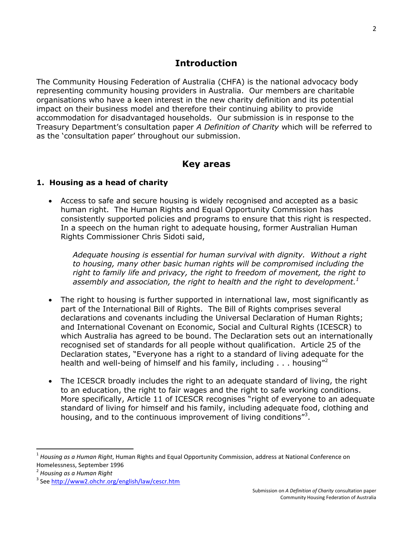#### **Introduction**

The Community Housing Federation of Australia (CHFA) is the national advocacy body representing community housing providers in Australia. Our members are charitable organisations who have a keen interest in the new charity definition and its potential impact on their business model and therefore their continuing ability to provide accommodation for disadvantaged households. Our submission is in response to the Treasury Department"s consultation paper *A Definition of Charity* which will be referred to as the 'consultation paper' throughout our submission.

#### **Key areas**

#### **1. Housing as a head of charity**

 Access to safe and secure housing is widely recognised and accepted as a basic human right. The Human Rights and Equal Opportunity Commission has consistently supported policies and programs to ensure that this right is respected. In a speech on the human right to adequate housing, former Australian Human Rights Commissioner Chris Sidoti said,

*Adequate housing is essential for human survival with dignity. Without a right to housing, many other basic human rights will be compromised including the right to family life and privacy, the right to freedom of movement, the right to assembly and association, the right to health and the right to development. 1*

- The right to housing is further supported in international law, most significantly as part of the International Bill of Rights. The Bill of Rights comprises several declarations and covenants including the Universal Declaration of Human Rights; and International Covenant on Economic, Social and Cultural Rights (ICESCR) to which Australia has agreed to be bound. The Declaration sets out an internationally recognised set of standards for all people without qualification. Article 25 of the Declaration states, "Everyone has a right to a standard of living adequate for the health and well-being of himself and his family, including  $\dots$  housing"
- The ICESCR broadly includes the right to an adequate standard of living, the right to an education, the right to fair wages and the right to safe working conditions. More specifically, Article 11 of ICESCR recognises "right of everyone to an adequate standard of living for himself and his family, including adequate food, clothing and housing, and to the continuous improvement of living conditions"<sup>3</sup>.

 $\overline{a}$ 

<sup>1</sup> *Housing as a Human Right*, Human Rights and Equal Opportunity Commission, address at National Conference on Homelessness, September 1996

<sup>2</sup> *Housing as a Human Right*

<sup>&</sup>lt;sup>3</sup> See<http://www2.ohchr.org/english/law/cescr.htm>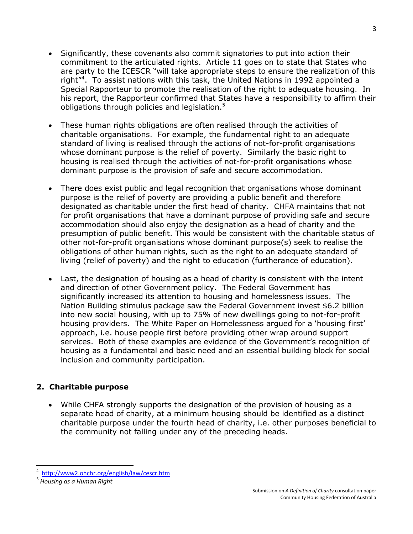- Significantly, these covenants also commit signatories to put into action their commitment to the articulated rights. Article 11 goes on to state that States who are party to the ICESCR "will take appropriate steps to ensure the realization of this right"<sup>4</sup> . To assist nations with this task, the United Nations in 1992 appointed a Special Rapporteur to promote the realisation of the right to adequate housing. In his report, the Rapporteur confirmed that States have a responsibility to affirm their obligations through policies and legislation. $5$
- These human rights obligations are often realised through the activities of charitable organisations. For example, the fundamental right to an adequate standard of living is realised through the actions of not-for-profit organisations whose dominant purpose is the relief of poverty. Similarly the basic right to housing is realised through the activities of not-for-profit organisations whose dominant purpose is the provision of safe and secure accommodation.
- There does exist public and legal recognition that organisations whose dominant purpose is the relief of poverty are providing a public benefit and therefore designated as charitable under the first head of charity. CHFA maintains that not for profit organisations that have a dominant purpose of providing safe and secure accommodation should also enjoy the designation as a head of charity and the presumption of public benefit. This would be consistent with the charitable status of other not-for-profit organisations whose dominant purpose(s) seek to realise the obligations of other human rights, such as the right to an adequate standard of living (relief of poverty) and the right to education (furtherance of education).
- Last, the designation of housing as a head of charity is consistent with the intent and direction of other Government policy. The Federal Government has significantly increased its attention to housing and homelessness issues. The Nation Building stimulus package saw the Federal Government invest \$6.2 billion into new social housing, with up to 75% of new dwellings going to not-for-profit housing providers. The White Paper on Homelessness argued for a "housing first" approach, i.e. house people first before providing other wrap around support services. Both of these examples are evidence of the Government's recognition of housing as a fundamental and basic need and an essential building block for social inclusion and community participation.

# **2. Charitable purpose**

 While CHFA strongly supports the designation of the provision of housing as a separate head of charity, at a minimum housing should be identified as a distinct charitable purpose under the fourth head of charity, i.e. other purposes beneficial to the community not falling under any of the preceding heads.

l

<sup>4</sup> <http://www2.ohchr.org/english/law/cescr.htm>

<sup>5</sup> *Housing as a Human Right*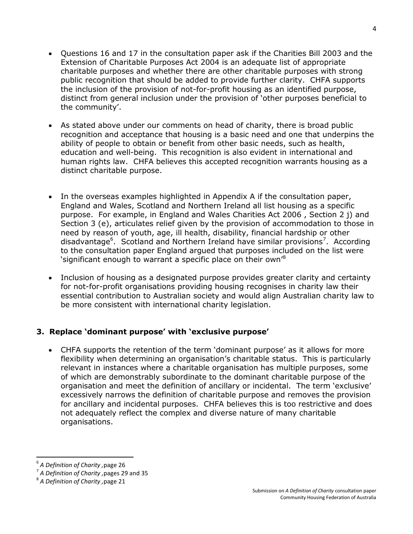- Questions 16 and 17 in the consultation paper ask if the Charities Bill 2003 and the Extension of Charitable Purposes Act 2004 is an adequate list of appropriate charitable purposes and whether there are other charitable purposes with strong public recognition that should be added to provide further clarity. CHFA supports the inclusion of the provision of not-for-profit housing as an identified purpose, distinct from general inclusion under the provision of "other purposes beneficial to the community'.
- As stated above under our comments on head of charity, there is broad public recognition and acceptance that housing is a basic need and one that underpins the ability of people to obtain or benefit from other basic needs, such as health, education and well-being. This recognition is also evident in international and human rights law. CHFA believes this accepted recognition warrants housing as a distinct charitable purpose.
- In the overseas examples highlighted in Appendix A if the consultation paper, England and Wales, Scotland and Northern Ireland all list housing as a specific purpose. For example, in England and Wales Charities Act 2006 , Section 2 j) and Section 3 (e), articulates relief given by the provision of accommodation to those in need by reason of youth, age, ill health, disability, financial hardship or other disadvantage<sup>6</sup>. Scotland and Northern Ireland have similar provisions<sup>7</sup>. According to the consultation paper England argued that purposes included on the list were 'significant enough to warrant a specific place on their own'<sup>8</sup>
- Inclusion of housing as a designated purpose provides greater clarity and certainty for not-for-profit organisations providing housing recognises in charity law their essential contribution to Australian society and would align Australian charity law to be more consistent with international charity legislation.

# **3. Replace 'dominant purpose' with 'exclusive purpose'**

• CHFA supports the retention of the term 'dominant purpose' as it allows for more flexibility when determining an organisation's charitable status. This is particularly relevant in instances where a charitable organisation has multiple purposes, some of which are demonstrably subordinate to the dominant charitable purpose of the organisation and meet the definition of ancillary or incidental. The term "exclusive" excessively narrows the definition of charitable purpose and removes the provision for ancillary and incidental purposes. CHFA believes this is too restrictive and does not adequately reflect the complex and diverse nature of many charitable organisations.

 $\overline{\phantom{a}}$ 

<sup>6</sup> *A Definition of Charity ,*page 26

<sup>7</sup> *A Definition of Charity ,*pages 29 and 35

<sup>8</sup> *A Definition of Charity ,*page 21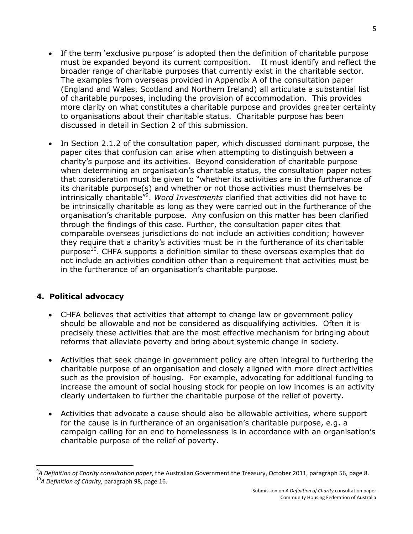- If the term 'exclusive purpose' is adopted then the definition of charitable purpose must be expanded beyond its current composition. It must identify and reflect the broader range of charitable purposes that currently exist in the charitable sector. The examples from overseas provided in Appendix A of the consultation paper (England and Wales, Scotland and Northern Ireland) all articulate a substantial list of charitable purposes, including the provision of accommodation. This provides more clarity on what constitutes a charitable purpose and provides greater certainty to organisations about their charitable status. Charitable purpose has been discussed in detail in Section 2 of this submission.
- In Section 2.1.2 of the consultation paper, which discussed dominant purpose, the paper cites that confusion can arise when attempting to distinguish between a charity"s purpose and its activities. Beyond consideration of charitable purpose when determining an organisation's charitable status, the consultation paper notes that consideration must be given to "whether its activities are in the furtherance of its charitable purpose(s) and whether or not those activities must themselves be intrinsically charitable"<sup>9</sup> . *Word Investments* clarified that activities did not have to be intrinsically charitable as long as they were carried out in the furtherance of the organisation"s charitable purpose. Any confusion on this matter has been clarified through the findings of this case. Further, the consultation paper cites that comparable overseas jurisdictions do not include an activities condition; however they require that a charity's activities must be in the furtherance of its charitable purpose<sup>10</sup>. CHFA supports a definition similar to these overseas examples that do not include an activities condition other than a requirement that activities must be in the furtherance of an organisation's charitable purpose.

# **4. Political advocacy**

l

- CHFA believes that activities that attempt to change law or government policy should be allowable and not be considered as disqualifying activities. Often it is precisely these activities that are the most effective mechanism for bringing about reforms that alleviate poverty and bring about systemic change in society.
- Activities that seek change in government policy are often integral to furthering the charitable purpose of an organisation and closely aligned with more direct activities such as the provision of housing. For example, advocating for additional funding to increase the amount of social housing stock for people on low incomes is an activity clearly undertaken to further the charitable purpose of the relief of poverty.
- Activities that advocate a cause should also be allowable activities, where support for the cause is in furtherance of an organisation's charitable purpose, e.g. a campaign calling for an end to homelessness is in accordance with an organisation"s charitable purpose of the relief of poverty.

<sup>9</sup> *A Definition of Charity consultation paper*, the Australian Government the Treasury, October 2011, paragraph 56, page 8. <sup>10</sup>*A Definition of Charity*, paragraph 98, page 16.